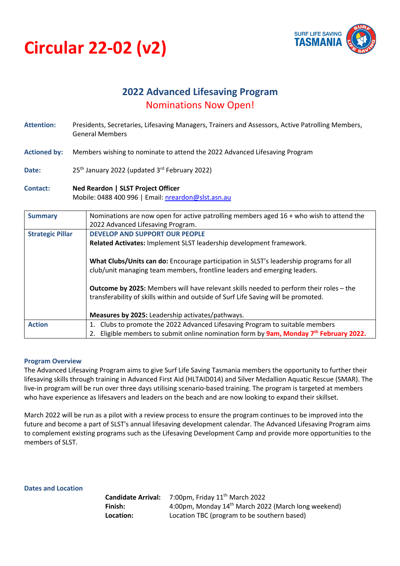



# **2022 Advanced Lifesaving Program** Nominations Now Open!

- **Attention:** Presidents, Secretaries, Lifesaving Managers, Trainers and Assessors, Active Patrolling Members, General Members
- **Actioned by:** Members wishing to nominate to attend the 2022 Advanced Lifesaving Program
- Date: 25<sup>th</sup> January 2022 (updated 3<sup>rd</sup> February 2022)
- **Contact: Ned Reardon | SLST Project Officer** Mobile: 0488 400 996 | Email: nreardon@slst.asn.au

| <b>Summary</b>          | Nominations are now open for active patrolling members aged 16 + who wish to attend the<br>2022 Advanced Lifesaving Program.                                                        |
|-------------------------|-------------------------------------------------------------------------------------------------------------------------------------------------------------------------------------|
| <b>Strategic Pillar</b> | <b>DEVELOP AND SUPPORT OUR PEOPLE</b>                                                                                                                                               |
|                         | Related Activates: Implement SLST leadership development framework.                                                                                                                 |
|                         | What Clubs/Units can do: Encourage participation in SLST's leadership programs for all<br>club/unit managing team members, frontline leaders and emerging leaders.                  |
|                         | <b>Outcome by 2025:</b> Members will have relevant skills needed to perform their roles – the<br>transferability of skills within and outside of Surf Life Saving will be promoted. |
|                         | Measures by 2025: Leadership activates/pathways.                                                                                                                                    |
| <b>Action</b>           | Clubs to promote the 2022 Advanced Lifesaving Program to suitable members                                                                                                           |
|                         | Eligible members to submit online nomination form by 9am, Monday 7 <sup>th</sup> February 2022.                                                                                     |

## **Program Overview**

The Advanced Lifesaving Program aims to give Surf Life Saving Tasmania members the opportunity to further their lifesaving skills through training in Advanced First Aid (HLTAID014) and Silver Medallion Aquatic Rescue (SMAR). The live-in program will be run over three days utilising scenario-based training. The program is targeted at members who have experience as lifesavers and leaders on the beach and are now looking to expand their skillset.

March 2022 will be run as a pilot with a review process to ensure the program continues to be improved into the future and become a part of SLST's annual lifesaving development calendar. The Advanced Lifesaving Program aims to complement existing programs such as the Lifesaving Development Camp and provide more opportunities to the members of SLST.

**Dates and Location**

**Candidate Arrival:** 7:00pm, Friday 11th March 2022 **Finish:** 4:00pm, Monday 14<sup>th</sup> March 2022 (March long weekend) **Location:** Location TBC (program to be southern based)